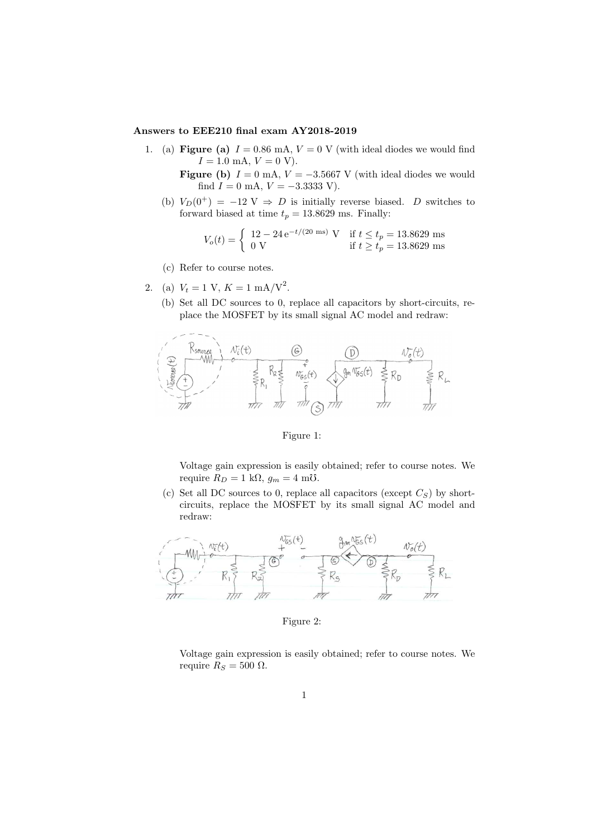## Answers to EEE210 final exam AY2018-2019

- 1. (a) Figure (a)  $I = 0.86$  mA,  $V = 0$  V (with ideal diodes we would find  $I = 1.0$  mA,  $V = 0$  V).
	- Figure (b)  $I = 0$  mA,  $V = -3.5667$  V (with ideal diodes we would find  $I = 0$  mA,  $V = -3.3333$  V).
	- (b)  $V_D(0^+) = -12 \text{ V} \Rightarrow D$  is initially reverse biased. D switches to forward biased at time  $t_p = 13.8629$  ms. Finally:

$$
V_o(t) = \begin{cases} 12 - 24 e^{-t/(20 \text{ ms})} \text{ V} & \text{if } t \le t_p = 13.8629 \text{ ms} \\ 0 \text{ V} & \text{if } t \ge t_p = 13.8629 \text{ ms} \end{cases}
$$

- (c) Refer to course notes.
- 2. (a)  $V_t = 1 \text{ V}, K = 1 \text{ mA}/V^2$ .
	- (b) Set all DC sources to 0, replace all capacitors by short-circuits, replace the MOSFET by its small signal AC model and redraw:



Figure 1:

Voltage gain expression is easily obtained; refer to course notes. We require  $R_D = 1$  kΩ,  $g_m = 4$  mU.

(c) Set all DC sources to 0, replace all capacitors (except  $C_S$ ) by shortcircuits, replace the MOSFET by its small signal AC model and redraw:



Figure 2:

Voltage gain expression is easily obtained; refer to course notes. We require  $R_S = 500$  Ω.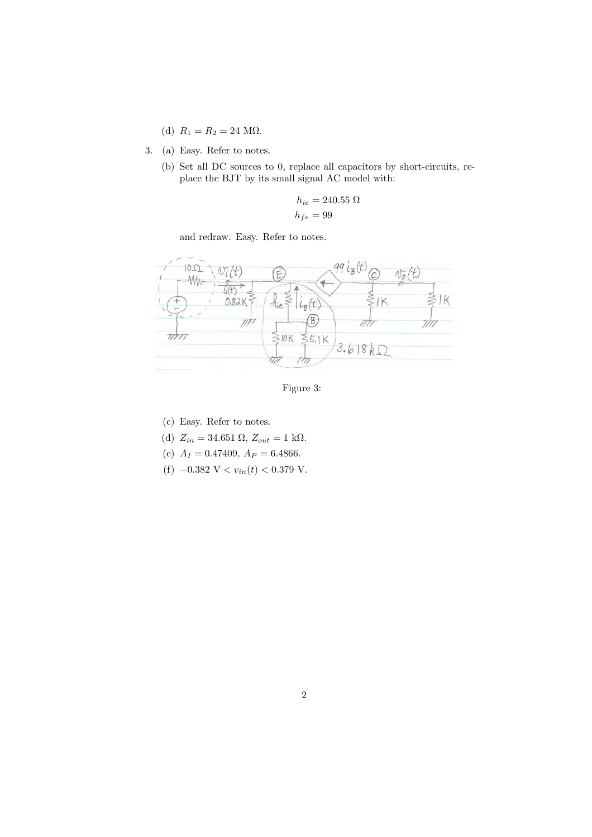- (d)  $R_1 = R_2 = 24$  M $\Omega$ .
- 3. (a) Easy. Refer to notes.
	- (b) Set all DC sources to 0, replace all capacitors by short-circuits, replace the BJT by its small signal AC model with:

$$
h_{ie} = 240.55 \text{ }\Omega
$$
  

$$
h_{fe} = 99
$$

and redraw. Easy. Refer to notes.



Figure 3:

- (c) Easy. Refer to notes.
- (d)  $Z_{in} = 34.651 \Omega, Z_{out} = 1 \text{ k}\Omega.$
- (e)  $A_I = 0.47409, A_P = 6.4866.$
- (f)  $-0.382 \text{ V} < v_{in}(t) < 0.379 \text{ V}.$